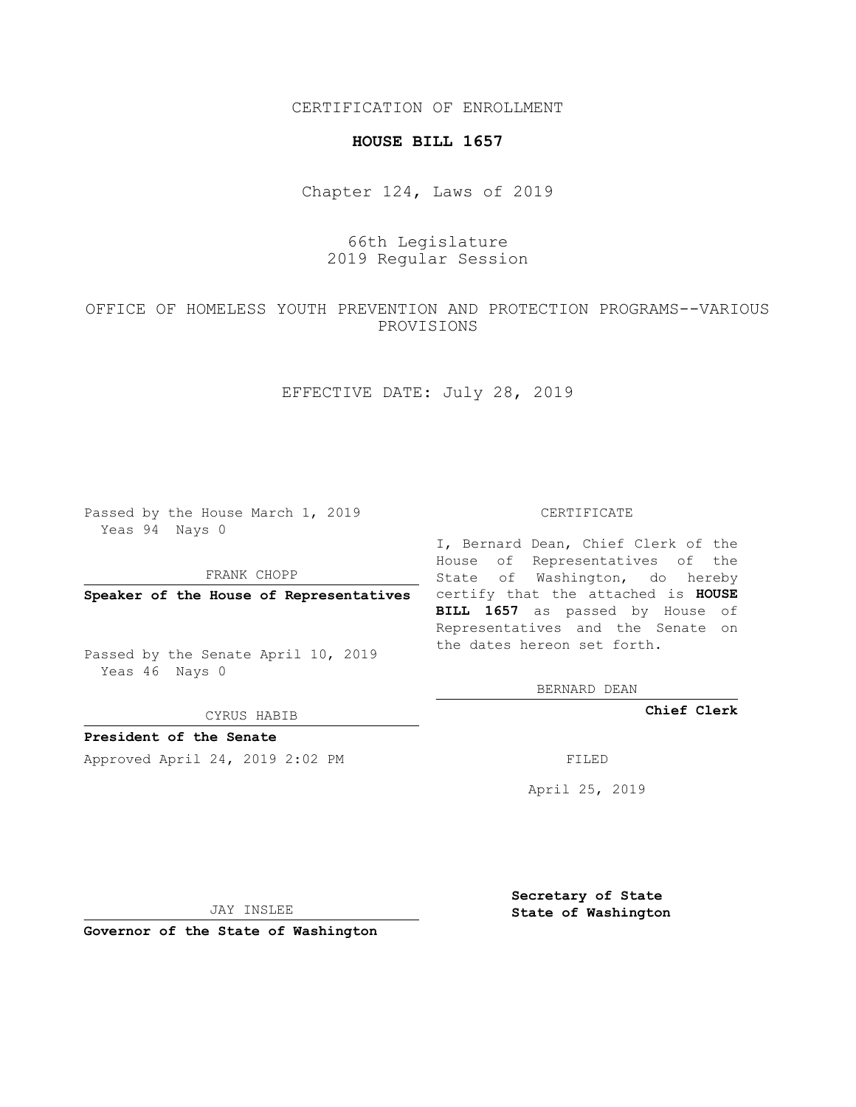CERTIFICATION OF ENROLLMENT

### **HOUSE BILL 1657**

Chapter 124, Laws of 2019

# 66th Legislature 2019 Regular Session

OFFICE OF HOMELESS YOUTH PREVENTION AND PROTECTION PROGRAMS--VARIOUS PROVISIONS

EFFECTIVE DATE: July 28, 2019

Passed by the House March 1, 2019 Yeas 94 Nays 0

FRANK CHOPP

Passed by the Senate April 10, 2019 Yeas 46 Nays 0

CYRUS HABIB

**President of the Senate**

Approved April 24, 2019 2:02 PM FILED

#### CERTIFICATE

**Speaker of the House of Representatives** certify that the attached is **HOUSE** I, Bernard Dean, Chief Clerk of the House of Representatives of the State of Washington, do hereby **BILL 1657** as passed by House of Representatives and the Senate on the dates hereon set forth.

BERNARD DEAN

**Chief Clerk**

April 25, 2019

JAY INSLEE

**Governor of the State of Washington**

**Secretary of State State of Washington**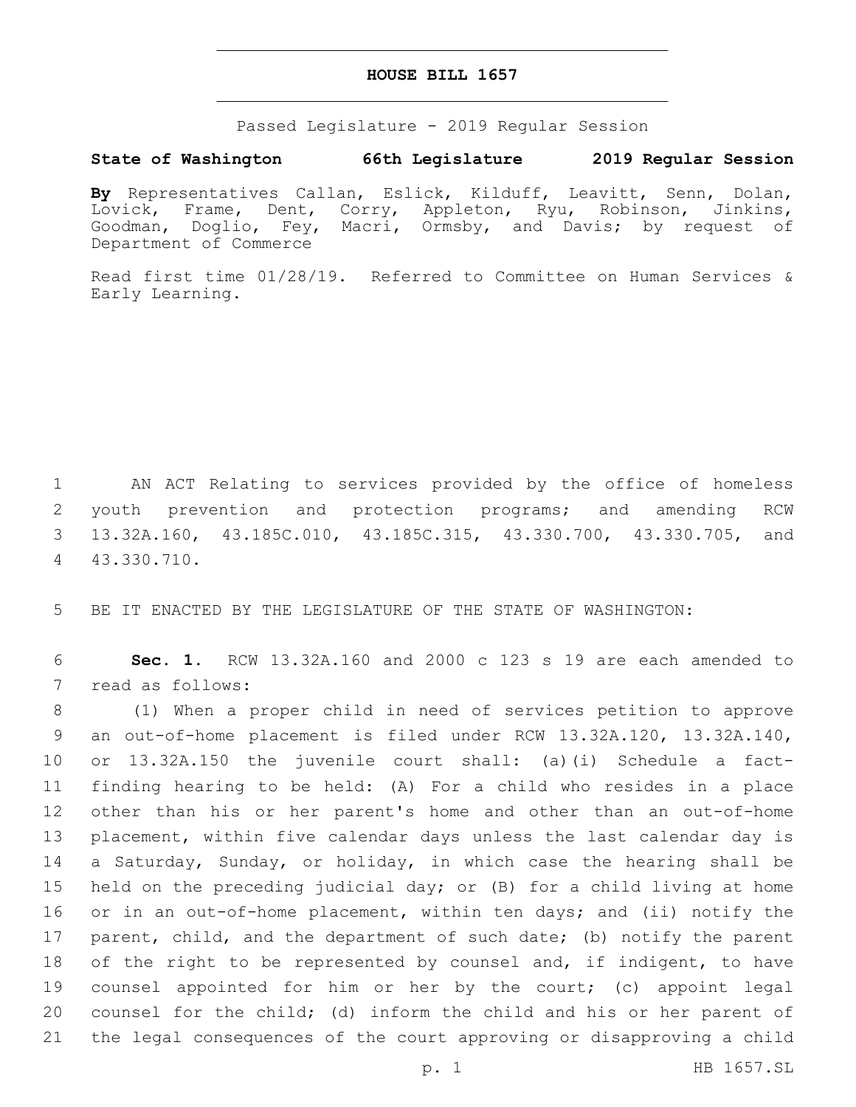### **HOUSE BILL 1657**

Passed Legislature - 2019 Regular Session

## **State of Washington 66th Legislature 2019 Regular Session**

**By** Representatives Callan, Eslick, Kilduff, Leavitt, Senn, Dolan, Lovick, Frame, Dent, Corry, Appleton, Ryu, Robinson, Jinkins, Goodman, Doglio, Fey, Macri, Ormsby, and Davis; by request of Department of Commerce

Read first time 01/28/19. Referred to Committee on Human Services & Early Learning.

 AN ACT Relating to services provided by the office of homeless youth prevention and protection programs; and amending RCW 13.32A.160, 43.185C.010, 43.185C.315, 43.330.700, 43.330.705, and 43.330.710.4

5 BE IT ENACTED BY THE LEGISLATURE OF THE STATE OF WASHINGTON:

6 **Sec. 1.** RCW 13.32A.160 and 2000 c 123 s 19 are each amended to 7 read as follows:

 (1) When a proper child in need of services petition to approve an out-of-home placement is filed under RCW 13.32A.120, 13.32A.140, or 13.32A.150 the juvenile court shall: (a)(i) Schedule a fact- finding hearing to be held: (A) For a child who resides in a place other than his or her parent's home and other than an out-of-home placement, within five calendar days unless the last calendar day is a Saturday, Sunday, or holiday, in which case the hearing shall be held on the preceding judicial day; or (B) for a child living at home or in an out-of-home placement, within ten days; and (ii) notify the 17 parent, child, and the department of such date; (b) notify the parent 18 of the right to be represented by counsel and, if indigent, to have counsel appointed for him or her by the court; (c) appoint legal counsel for the child; (d) inform the child and his or her parent of the legal consequences of the court approving or disapproving a child

p. 1 HB 1657.SL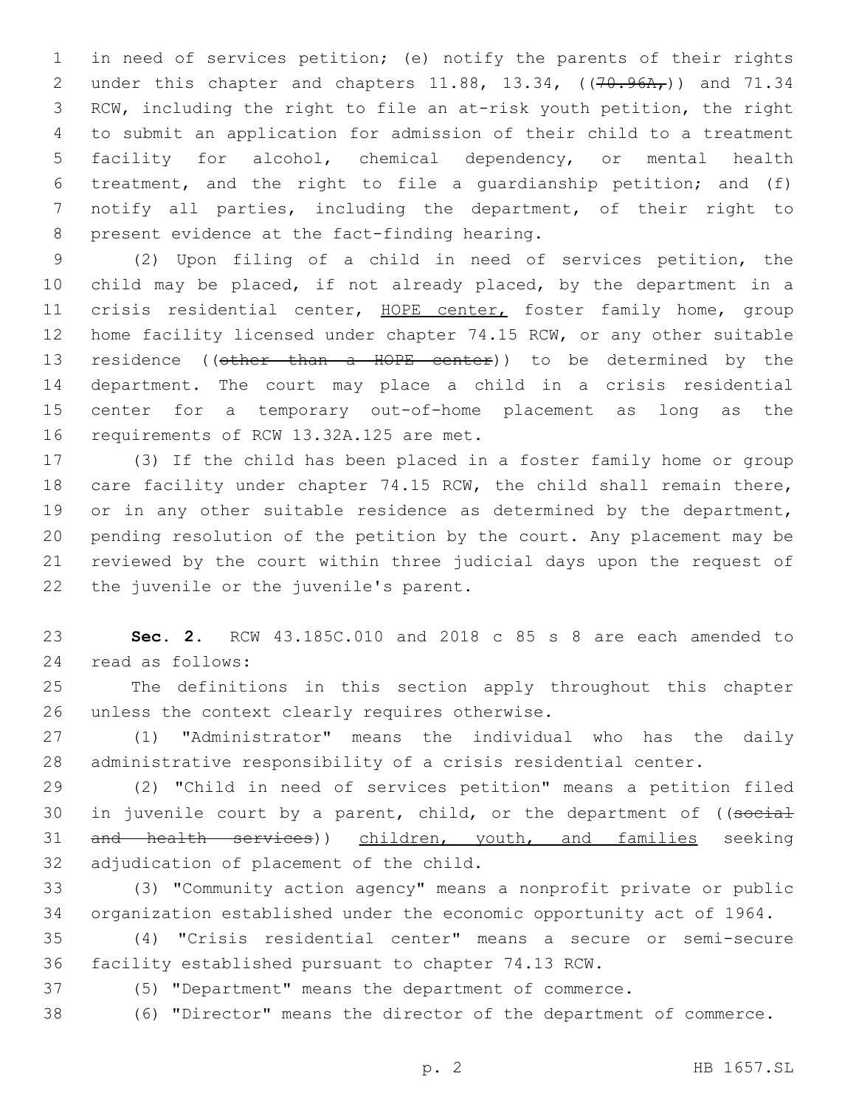in need of services petition; (e) notify the parents of their rights 2 under this chapter and chapters 11.88, 13.34, ((70.96A,)) and 71.34 RCW, including the right to file an at-risk youth petition, the right to submit an application for admission of their child to a treatment facility for alcohol, chemical dependency, or mental health treatment, and the right to file a guardianship petition; and (f) notify all parties, including the department, of their right to 8 present evidence at the fact-finding hearing.

 (2) Upon filing of a child in need of services petition, the child may be placed, if not already placed, by the department in a 11 crisis residential center, HOPE center, foster family home, group 12 home facility licensed under chapter 74.15 RCW, or any other suitable 13 residence ((other than a HOPE center)) to be determined by the department. The court may place a child in a crisis residential center for a temporary out-of-home placement as long as the 16 requirements of RCW 13.32A.125 are met.

 (3) If the child has been placed in a foster family home or group 18 care facility under chapter 74.15 RCW, the child shall remain there, 19 or in any other suitable residence as determined by the department, pending resolution of the petition by the court. Any placement may be reviewed by the court within three judicial days upon the request of 22 the juvenile or the juvenile's parent.

 **Sec. 2.** RCW 43.185C.010 and 2018 c 85 s 8 are each amended to read as follows:24

 The definitions in this section apply throughout this chapter 26 unless the context clearly requires otherwise.

 (1) "Administrator" means the individual who has the daily administrative responsibility of a crisis residential center.

 (2) "Child in need of services petition" means a petition filed 30 in juvenile court by a parent, child, or the department of ((social 31 and health services)) children, youth, and families seeking 32 adjudication of placement of the child.

 (3) "Community action agency" means a nonprofit private or public organization established under the economic opportunity act of 1964.

 (4) "Crisis residential center" means a secure or semi-secure facility established pursuant to chapter 74.13 RCW.

(5) "Department" means the department of commerce.

(6) "Director" means the director of the department of commerce.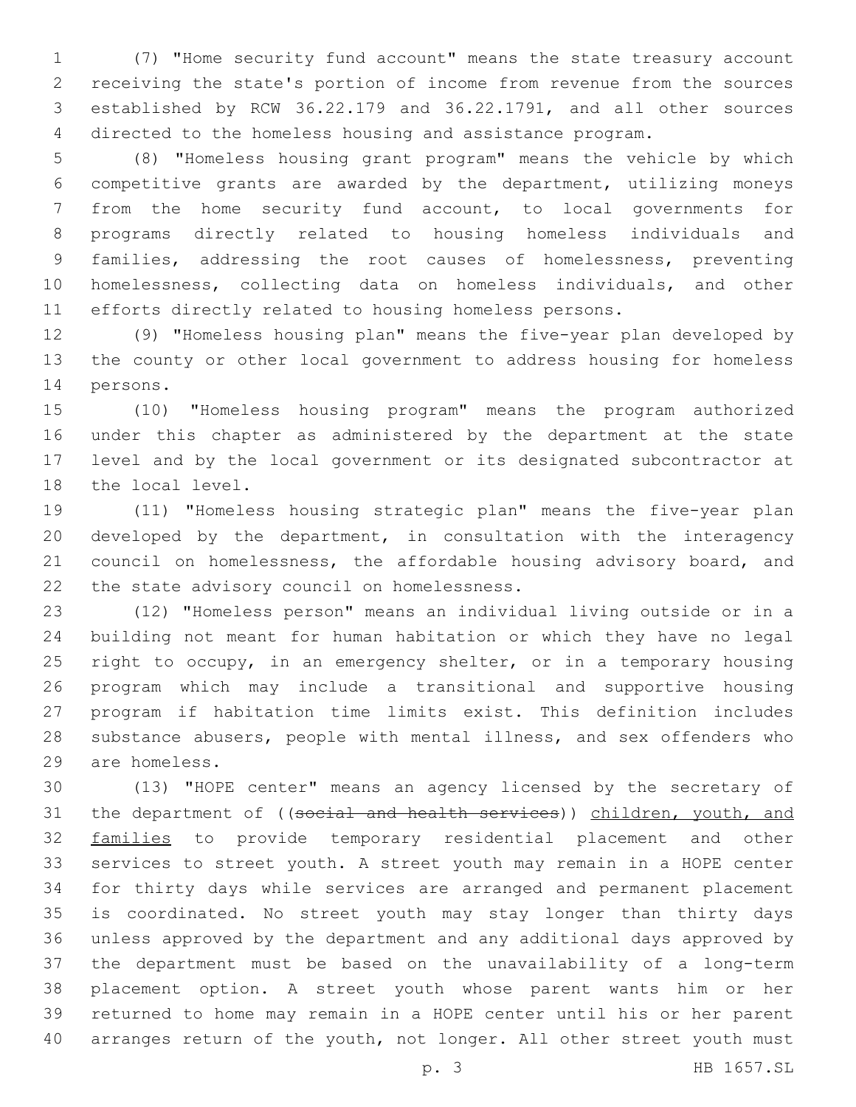(7) "Home security fund account" means the state treasury account receiving the state's portion of income from revenue from the sources established by RCW 36.22.179 and 36.22.1791, and all other sources directed to the homeless housing and assistance program.

 (8) "Homeless housing grant program" means the vehicle by which competitive grants are awarded by the department, utilizing moneys from the home security fund account, to local governments for programs directly related to housing homeless individuals and families, addressing the root causes of homelessness, preventing homelessness, collecting data on homeless individuals, and other efforts directly related to housing homeless persons.

 (9) "Homeless housing plan" means the five-year plan developed by the county or other local government to address housing for homeless 14 persons.

 (10) "Homeless housing program" means the program authorized under this chapter as administered by the department at the state level and by the local government or its designated subcontractor at 18 the local level.

 (11) "Homeless housing strategic plan" means the five-year plan developed by the department, in consultation with the interagency council on homelessness, the affordable housing advisory board, and 22 the state advisory council on homelessness.

 (12) "Homeless person" means an individual living outside or in a building not meant for human habitation or which they have no legal right to occupy, in an emergency shelter, or in a temporary housing program which may include a transitional and supportive housing program if habitation time limits exist. This definition includes substance abusers, people with mental illness, and sex offenders who are homeless.29

 (13) "HOPE center" means an agency licensed by the secretary of 31 the department of ((social and health services)) children, youth, and 32 families to provide temporary residential placement and other services to street youth. A street youth may remain in a HOPE center for thirty days while services are arranged and permanent placement is coordinated. No street youth may stay longer than thirty days unless approved by the department and any additional days approved by the department must be based on the unavailability of a long-term placement option. A street youth whose parent wants him or her returned to home may remain in a HOPE center until his or her parent 40 arranges return of the youth, not longer. All other street youth must

p. 3 HB 1657.SL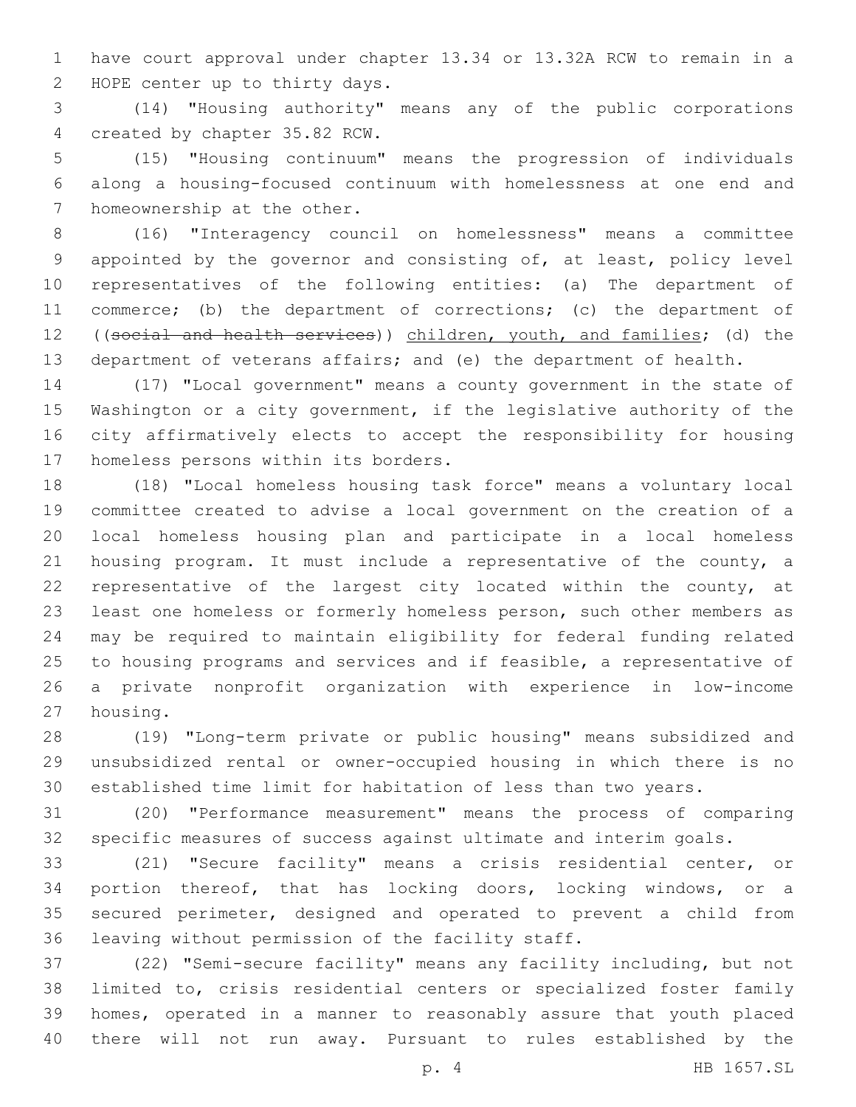have court approval under chapter 13.34 or 13.32A RCW to remain in a 2 HOPE center up to thirty days.

 (14) "Housing authority" means any of the public corporations 4 created by chapter 35.82 RCW.

 (15) "Housing continuum" means the progression of individuals along a housing-focused continuum with homelessness at one end and 7 homeownership at the other.

 (16) "Interagency council on homelessness" means a committee appointed by the governor and consisting of, at least, policy level representatives of the following entities: (a) The department of commerce; (b) the department of corrections; (c) the department of 12 ((social and health services)) children, youth, and families; (d) the department of veterans affairs; and (e) the department of health.

 (17) "Local government" means a county government in the state of Washington or a city government, if the legislative authority of the city affirmatively elects to accept the responsibility for housing 17 homeless persons within its borders.

 (18) "Local homeless housing task force" means a voluntary local committee created to advise a local government on the creation of a local homeless housing plan and participate in a local homeless housing program. It must include a representative of the county, a representative of the largest city located within the county, at least one homeless or formerly homeless person, such other members as may be required to maintain eligibility for federal funding related to housing programs and services and if feasible, a representative of a private nonprofit organization with experience in low-income 27 housing.

 (19) "Long-term private or public housing" means subsidized and unsubsidized rental or owner-occupied housing in which there is no established time limit for habitation of less than two years.

 (20) "Performance measurement" means the process of comparing specific measures of success against ultimate and interim goals.

 (21) "Secure facility" means a crisis residential center, or portion thereof, that has locking doors, locking windows, or a secured perimeter, designed and operated to prevent a child from 36 leaving without permission of the facility staff.

 (22) "Semi-secure facility" means any facility including, but not limited to, crisis residential centers or specialized foster family homes, operated in a manner to reasonably assure that youth placed there will not run away. Pursuant to rules established by the

p. 4 HB 1657.SL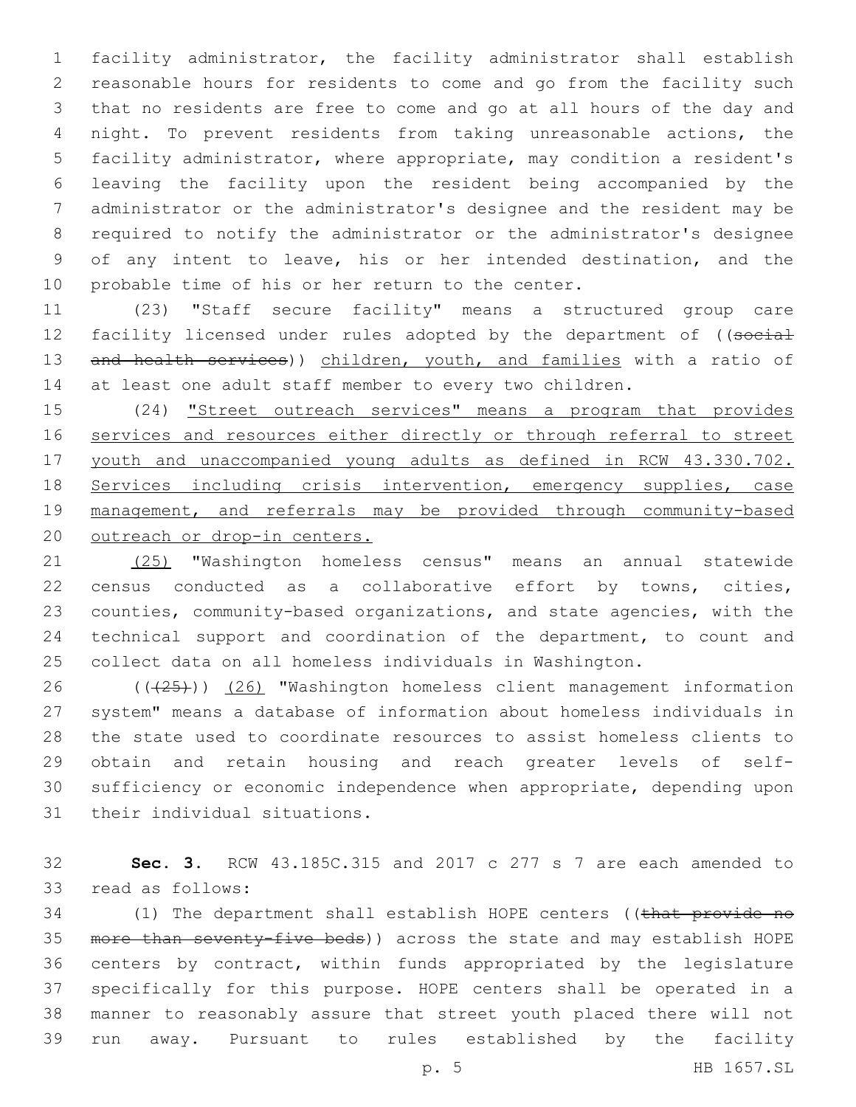facility administrator, the facility administrator shall establish reasonable hours for residents to come and go from the facility such that no residents are free to come and go at all hours of the day and night. To prevent residents from taking unreasonable actions, the facility administrator, where appropriate, may condition a resident's leaving the facility upon the resident being accompanied by the administrator or the administrator's designee and the resident may be required to notify the administrator or the administrator's designee of any intent to leave, his or her intended destination, and the 10 probable time of his or her return to the center.

 (23) "Staff secure facility" means a structured group care 12 facility licensed under rules adopted by the department of ((social 13 and health services)) children, youth, and families with a ratio of at least one adult staff member to every two children.

 (24) "Street outreach services" means a program that provides services and resources either directly or through referral to street youth and unaccompanied young adults as defined in RCW 43.330.702. 18 Services including crisis intervention, emergency supplies, case management, and referrals may be provided through community-based 20 outreach or drop-in centers.

 (25) "Washington homeless census" means an annual statewide census conducted as a collaborative effort by towns, cities, counties, community-based organizations, and state agencies, with the technical support and coordination of the department, to count and collect data on all homeless individuals in Washington.

 ( $(\overline{25})$ ) (26) "Washington homeless client management information system" means a database of information about homeless individuals in the state used to coordinate resources to assist homeless clients to obtain and retain housing and reach greater levels of self- sufficiency or economic independence when appropriate, depending upon 31 their individual situations.

 **Sec. 3.** RCW 43.185C.315 and 2017 c 277 s 7 are each amended to 33 read as follows:

34 (1) The department shall establish HOPE centers ((that provide no more than seventy-five beds)) across the state and may establish HOPE centers by contract, within funds appropriated by the legislature specifically for this purpose. HOPE centers shall be operated in a manner to reasonably assure that street youth placed there will not run away. Pursuant to rules established by the facility

p. 5 HB 1657.SL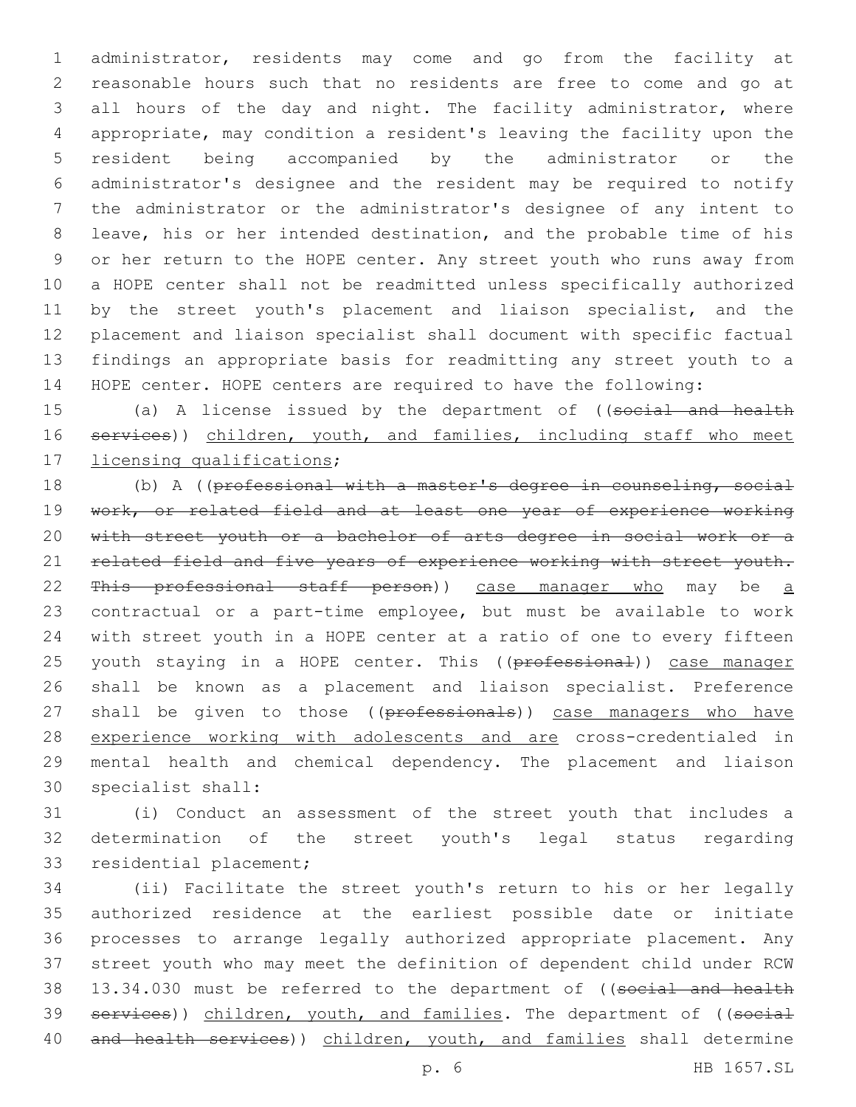administrator, residents may come and go from the facility at reasonable hours such that no residents are free to come and go at 3 all hours of the day and night. The facility administrator, where appropriate, may condition a resident's leaving the facility upon the resident being accompanied by the administrator or the administrator's designee and the resident may be required to notify the administrator or the administrator's designee of any intent to leave, his or her intended destination, and the probable time of his or her return to the HOPE center. Any street youth who runs away from a HOPE center shall not be readmitted unless specifically authorized 11 by the street youth's placement and liaison specialist, and the placement and liaison specialist shall document with specific factual findings an appropriate basis for readmitting any street youth to a HOPE center. HOPE centers are required to have the following:

15 (a) A license issued by the department of ((social and health 16 services)) children, youth, and families, including staff who meet 17 licensing qualifications;

18 (b) A ((professional with a master's degree in counseling, social 19 work, or related field and at least one year of experience working 20 with street youth or a bachelor of arts degree in social work or a 21 related field and five years of experience working with street youth. 22 This professional staff person)) case manager who may be a 23 contractual or a part-time employee, but must be available to work 24 with street youth in a HOPE center at a ratio of one to every fifteen 25 youth staying in a HOPE center. This ((professional)) case manager 26 shall be known as a placement and liaison specialist. Preference 27 shall be given to those ((professionals)) case managers who have 28 experience working with adolescents and are cross-credentialed in 29 mental health and chemical dependency. The placement and liaison 30 specialist shall:

31 (i) Conduct an assessment of the street youth that includes a 32 determination of the street youth's legal status regarding 33 residential placement;

34 (ii) Facilitate the street youth's return to his or her legally 35 authorized residence at the earliest possible date or initiate 36 processes to arrange legally authorized appropriate placement. Any 37 street youth who may meet the definition of dependent child under RCW 38 13.34.030 must be referred to the department of ((social and health 39 services)) children, youth, and families. The department of ((social 40 and health services)) children, youth, and families shall determine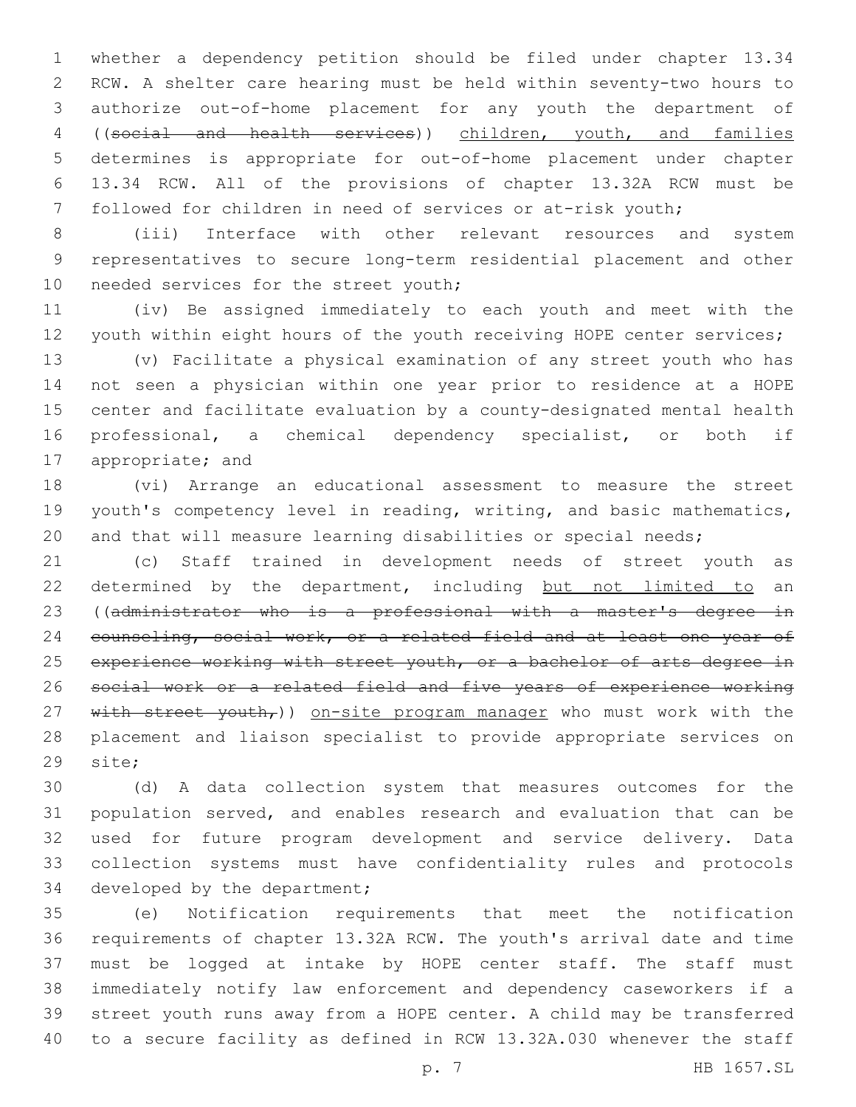whether a dependency petition should be filed under chapter 13.34 RCW. A shelter care hearing must be held within seventy-two hours to authorize out-of-home placement for any youth the department of ((social and health services)) children, youth, and families determines is appropriate for out-of-home placement under chapter 13.34 RCW. All of the provisions of chapter 13.32A RCW must be followed for children in need of services or at-risk youth;

 (iii) Interface with other relevant resources and system representatives to secure long-term residential placement and other 10 needed services for the street youth;

 (iv) Be assigned immediately to each youth and meet with the 12 youth within eight hours of the youth receiving HOPE center services;

 (v) Facilitate a physical examination of any street youth who has not seen a physician within one year prior to residence at a HOPE center and facilitate evaluation by a county-designated mental health professional, a chemical dependency specialist, or both if 17 appropriate; and

 (vi) Arrange an educational assessment to measure the street youth's competency level in reading, writing, and basic mathematics, and that will measure learning disabilities or special needs;

 (c) Staff trained in development needs of street youth as 22 determined by the department, including but not limited to an ((administrator who is a professional with a master's degree in 24 counseling, social work, or a related field and at least one year of 25 experience working with street youth, or a bachelor of arts degree in social work or a related field and five years of experience working 27 with street youth,)) on-site program manager who must work with the placement and liaison specialist to provide appropriate services on 29 site;

 (d) A data collection system that measures outcomes for the population served, and enables research and evaluation that can be used for future program development and service delivery. Data collection systems must have confidentiality rules and protocols 34 developed by the department;

 (e) Notification requirements that meet the notification requirements of chapter 13.32A RCW. The youth's arrival date and time must be logged at intake by HOPE center staff. The staff must immediately notify law enforcement and dependency caseworkers if a street youth runs away from a HOPE center. A child may be transferred to a secure facility as defined in RCW 13.32A.030 whenever the staff

p. 7 HB 1657.SL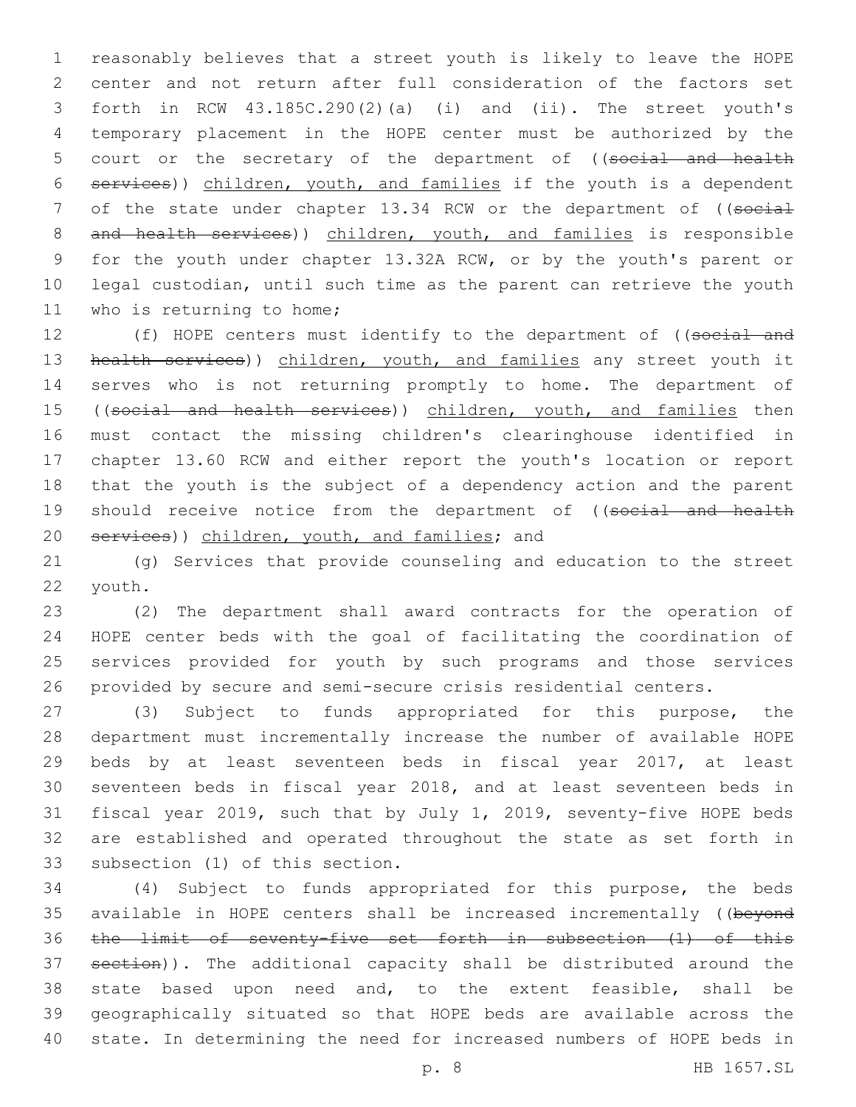reasonably believes that a street youth is likely to leave the HOPE center and not return after full consideration of the factors set forth in RCW 43.185C.290(2)(a) (i) and (ii). The street youth's temporary placement in the HOPE center must be authorized by the 5 court or the secretary of the department of ((social and health services)) children, youth, and families if the youth is a dependent 7 of the state under chapter 13.34 RCW or the department of ((social 8 and health services)) children, youth, and families is responsible for the youth under chapter 13.32A RCW, or by the youth's parent or legal custodian, until such time as the parent can retrieve the youth 11 who is returning to home;

12 (f) HOPE centers must identify to the department of ((social and 13 health services)) children, youth, and families any street youth it serves who is not returning promptly to home. The department of 15 ((social and health services)) children, youth, and families then must contact the missing children's clearinghouse identified in chapter 13.60 RCW and either report the youth's location or report that the youth is the subject of a dependency action and the parent 19 should receive notice from the department of ((social and health 20 services)) children, youth, and families; and

 (g) Services that provide counseling and education to the street 22 youth.

 (2) The department shall award contracts for the operation of HOPE center beds with the goal of facilitating the coordination of services provided for youth by such programs and those services provided by secure and semi-secure crisis residential centers.

 (3) Subject to funds appropriated for this purpose, the department must incrementally increase the number of available HOPE beds by at least seventeen beds in fiscal year 2017, at least seventeen beds in fiscal year 2018, and at least seventeen beds in fiscal year 2019, such that by July 1, 2019, seventy-five HOPE beds are established and operated throughout the state as set forth in 33 subsection (1) of this section.

 (4) Subject to funds appropriated for this purpose, the beds 35 available in HOPE centers shall be increased incrementally ((beyond the limit of seventy-five set forth in subsection (1) of this section)). The additional capacity shall be distributed around the state based upon need and, to the extent feasible, shall be geographically situated so that HOPE beds are available across the state. In determining the need for increased numbers of HOPE beds in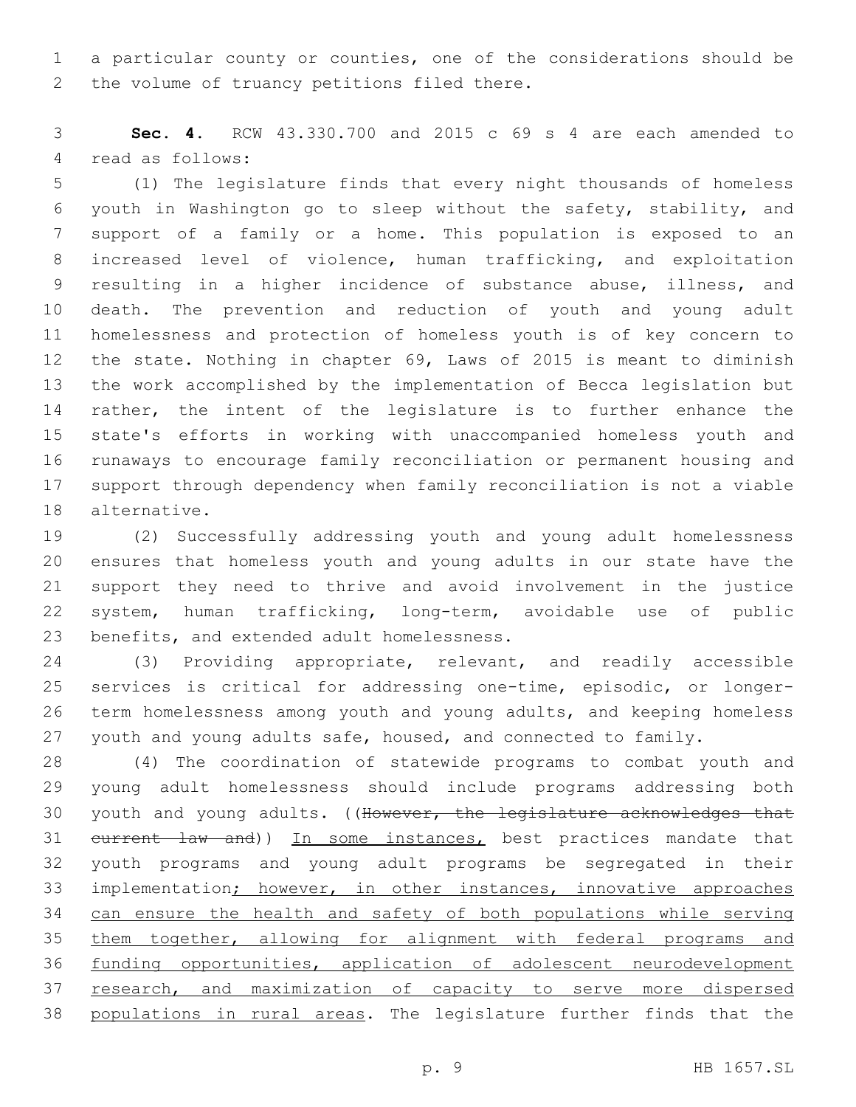a particular county or counties, one of the considerations should be 2 the volume of truancy petitions filed there.

 **Sec. 4.** RCW 43.330.700 and 2015 c 69 s 4 are each amended to 4 read as follows:

 (1) The legislature finds that every night thousands of homeless youth in Washington go to sleep without the safety, stability, and support of a family or a home. This population is exposed to an increased level of violence, human trafficking, and exploitation resulting in a higher incidence of substance abuse, illness, and death. The prevention and reduction of youth and young adult homelessness and protection of homeless youth is of key concern to the state. Nothing in chapter 69, Laws of 2015 is meant to diminish the work accomplished by the implementation of Becca legislation but rather, the intent of the legislature is to further enhance the state's efforts in working with unaccompanied homeless youth and runaways to encourage family reconciliation or permanent housing and support through dependency when family reconciliation is not a viable 18 alternative.

 (2) Successfully addressing youth and young adult homelessness ensures that homeless youth and young adults in our state have the support they need to thrive and avoid involvement in the justice system, human trafficking, long-term, avoidable use of public 23 benefits, and extended adult homelessness.

 (3) Providing appropriate, relevant, and readily accessible services is critical for addressing one-time, episodic, or longer- term homelessness among youth and young adults, and keeping homeless youth and young adults safe, housed, and connected to family.

 (4) The coordination of statewide programs to combat youth and young adult homelessness should include programs addressing both 30 youth and young adults. ((However, the legislature acknowledges that 31 eurrent law and)) In some instances, best practices mandate that youth programs and young adult programs be segregated in their implementation; however, in other instances, innovative approaches 34 can ensure the health and safety of both populations while serving them together, allowing for alignment with federal programs and funding opportunities, application of adolescent neurodevelopment 37 research, and maximization of capacity to serve more dispersed populations in rural areas. The legislature further finds that the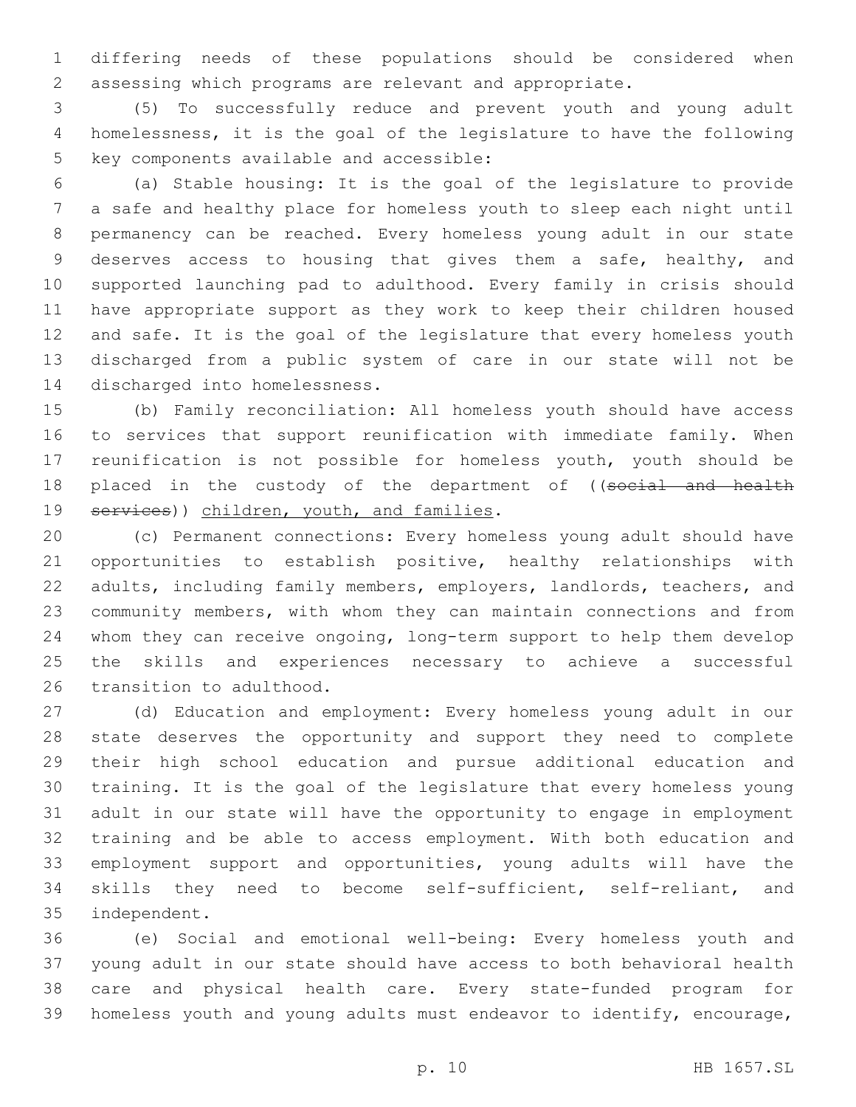differing needs of these populations should be considered when assessing which programs are relevant and appropriate.

 (5) To successfully reduce and prevent youth and young adult homelessness, it is the goal of the legislature to have the following 5 key components available and accessible:

 (a) Stable housing: It is the goal of the legislature to provide a safe and healthy place for homeless youth to sleep each night until permanency can be reached. Every homeless young adult in our state deserves access to housing that gives them a safe, healthy, and supported launching pad to adulthood. Every family in crisis should have appropriate support as they work to keep their children housed and safe. It is the goal of the legislature that every homeless youth discharged from a public system of care in our state will not be 14 discharged into homelessness.

 (b) Family reconciliation: All homeless youth should have access to services that support reunification with immediate family. When reunification is not possible for homeless youth, youth should be 18 placed in the custody of the department of ((social and health 19 services)) children, youth, and families.

 (c) Permanent connections: Every homeless young adult should have opportunities to establish positive, healthy relationships with adults, including family members, employers, landlords, teachers, and community members, with whom they can maintain connections and from whom they can receive ongoing, long-term support to help them develop the skills and experiences necessary to achieve a successful 26 transition to adulthood.

 (d) Education and employment: Every homeless young adult in our state deserves the opportunity and support they need to complete their high school education and pursue additional education and training. It is the goal of the legislature that every homeless young adult in our state will have the opportunity to engage in employment training and be able to access employment. With both education and employment support and opportunities, young adults will have the skills they need to become self-sufficient, self-reliant, and 35 independent.

 (e) Social and emotional well-being: Every homeless youth and young adult in our state should have access to both behavioral health care and physical health care. Every state-funded program for homeless youth and young adults must endeavor to identify, encourage,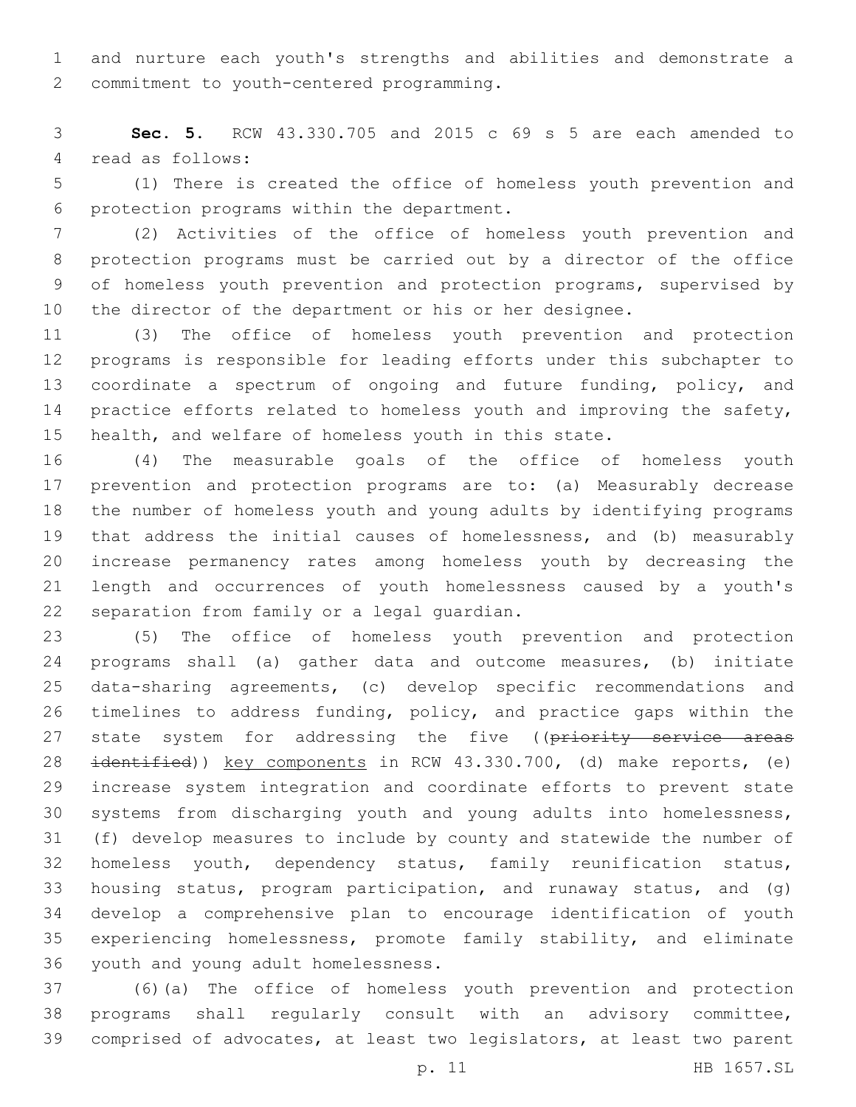and nurture each youth's strengths and abilities and demonstrate a 2 commitment to youth-centered programming.

 **Sec. 5.** RCW 43.330.705 and 2015 c 69 s 5 are each amended to 4 read as follows:

 (1) There is created the office of homeless youth prevention and 6 protection programs within the department.

 (2) Activities of the office of homeless youth prevention and protection programs must be carried out by a director of the office of homeless youth prevention and protection programs, supervised by the director of the department or his or her designee.

 (3) The office of homeless youth prevention and protection programs is responsible for leading efforts under this subchapter to coordinate a spectrum of ongoing and future funding, policy, and 14 practice efforts related to homeless youth and improving the safety, 15 health, and welfare of homeless youth in this state.

 (4) The measurable goals of the office of homeless youth prevention and protection programs are to: (a) Measurably decrease the number of homeless youth and young adults by identifying programs that address the initial causes of homelessness, and (b) measurably increase permanency rates among homeless youth by decreasing the length and occurrences of youth homelessness caused by a youth's 22 separation from family or a legal guardian.

 (5) The office of homeless youth prevention and protection programs shall (a) gather data and outcome measures, (b) initiate data-sharing agreements, (c) develop specific recommendations and timelines to address funding, policy, and practice gaps within the 27 state system for addressing the five ((priority service areas 28 identified)) key components in RCW 43.330.700, (d) make reports, (e) increase system integration and coordinate efforts to prevent state systems from discharging youth and young adults into homelessness, (f) develop measures to include by county and statewide the number of homeless youth, dependency status, family reunification status, housing status, program participation, and runaway status, and (g) develop a comprehensive plan to encourage identification of youth experiencing homelessness, promote family stability, and eliminate 36 youth and young adult homelessness.

 (6)(a) The office of homeless youth prevention and protection programs shall regularly consult with an advisory committee, comprised of advocates, at least two legislators, at least two parent

p. 11 HB 1657.SL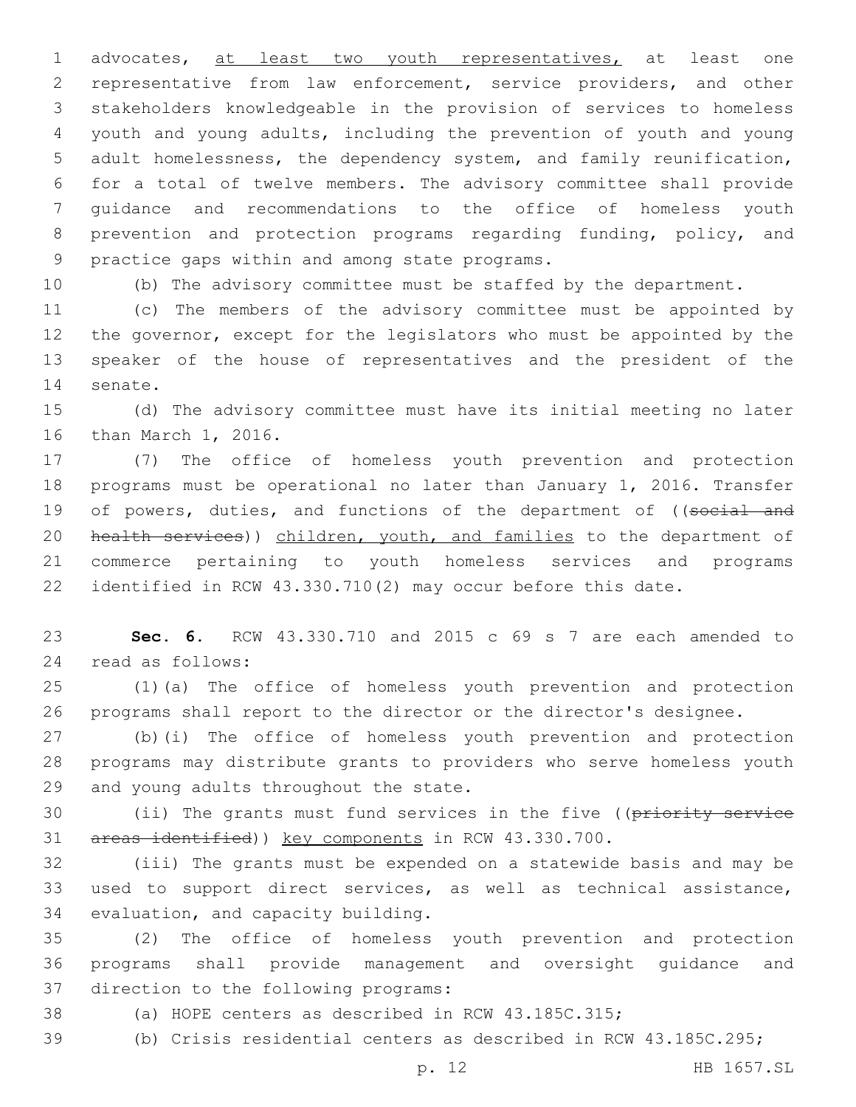1 advocates, at least two youth representatives, at least one representative from law enforcement, service providers, and other stakeholders knowledgeable in the provision of services to homeless youth and young adults, including the prevention of youth and young adult homelessness, the dependency system, and family reunification, for a total of twelve members. The advisory committee shall provide guidance and recommendations to the office of homeless youth prevention and protection programs regarding funding, policy, and 9 practice gaps within and among state programs.

(b) The advisory committee must be staffed by the department.

 (c) The members of the advisory committee must be appointed by the governor, except for the legislators who must be appointed by the speaker of the house of representatives and the president of the 14 senate.

 (d) The advisory committee must have its initial meeting no later 16 than March 1, 2016.

 (7) The office of homeless youth prevention and protection programs must be operational no later than January 1, 2016. Transfer 19 of powers, duties, and functions of the department of ((social and 20 health services)) children, youth, and families to the department of commerce pertaining to youth homeless services and programs identified in RCW 43.330.710(2) may occur before this date.

 **Sec. 6.** RCW 43.330.710 and 2015 c 69 s 7 are each amended to read as follows:24

 (1)(a) The office of homeless youth prevention and protection programs shall report to the director or the director's designee.

 (b)(i) The office of homeless youth prevention and protection programs may distribute grants to providers who serve homeless youth 29 and young adults throughout the state.

30 (ii) The grants must fund services in the five ((priority service 31 areas identified)) key components in RCW 43.330.700.

 (iii) The grants must be expended on a statewide basis and may be used to support direct services, as well as technical assistance, 34 evaluation, and capacity building.

 (2) The office of homeless youth prevention and protection programs shall provide management and oversight guidance and 37 direction to the following programs:

- (a) HOPE centers as described in RCW 43.185C.315;
- (b) Crisis residential centers as described in RCW 43.185C.295;

p. 12 HB 1657.SL